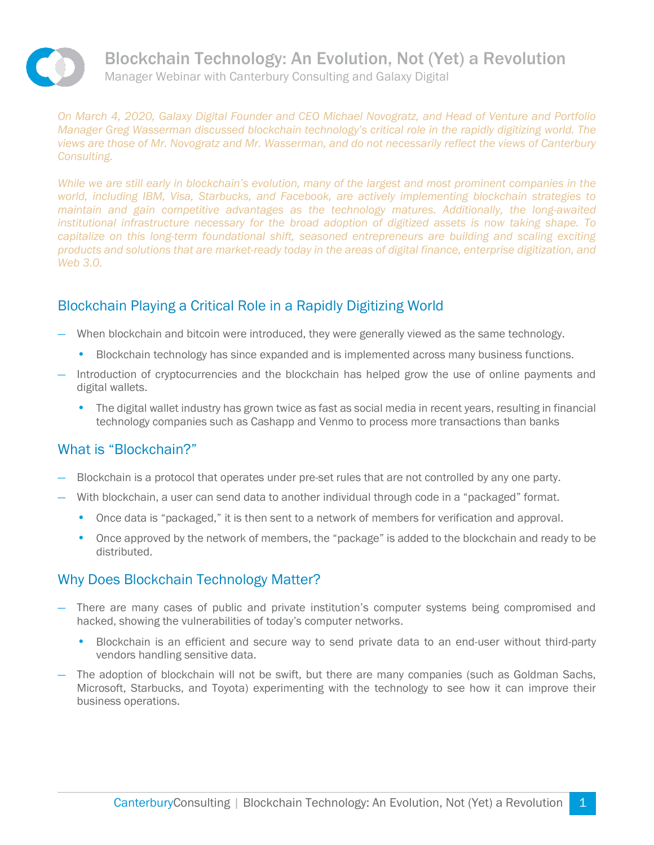

Blockchain Technology: An Evolution, Not (Yet) a Revolution Manager Webinar with Canterbury Consulting and Galaxy Digital

*On March 4, 2020, Galaxy Digital Founder and CEO Michael Novogratz, and Head of Venture and Portfolio Manager Greg Wasserman discussed blockchain technology's critical role in the rapidly digitizing world. The views are those of Mr. Novogratz and Mr. Wasserman, and do not necessarily reflect the views of Canterbury Consulting.*

*While we are still early in blockchain's evolution, many of the largest and most prominent companies in the world, including IBM, Visa, Starbucks, and Facebook, are actively implementing blockchain strategies to maintain and gain competitive advantages as the technology matures. Additionally, the long-awaited institutional infrastructure necessary for the broad adoption of digitized assets is now taking shape. To capitalize on this long-term foundational shift, seasoned entrepreneurs are building and scaling exciting products and solutions that are market-ready today in the areas of digital finance, enterprise digitization, and Web 3.0.*

## Blockchain Playing a Critical Role in a Rapidly Digitizing World

- When blockchain and bitcoin were introduced, they were generally viewed as the same technology.
	- Blockchain technology has since expanded and is implemented across many business functions.
- Introduction of cryptocurrencies and the blockchain has helped grow the use of online payments and digital wallets.
	- The digital wallet industry has grown twice as fast as social media in recent years, resulting in financial technology companies such as Cashapp and Venmo to process more transactions than banks

## What is "Blockchain?"

- Blockchain is a protocol that operates under pre-set rules that are not controlled by any one party.
- With blockchain, a user can send data to another individual through code in a "packaged" format.
	- Once data is "packaged," it is then sent to a network of members for verification and approval.
	- Once approved by the network of members, the "package" is added to the blockchain and ready to be distributed.

## Why Does Blockchain Technology Matter?

- There are many cases of public and private institution's computer systems being compromised and hacked, showing the vulnerabilities of today's computer networks.
	- Blockchain is an efficient and secure way to send private data to an end-user without third-party vendors handling sensitive data.
- The adoption of blockchain will not be swift, but there are many companies (such as Goldman Sachs, Microsoft, Starbucks, and Toyota) experimenting with the technology to see how it can improve their business operations.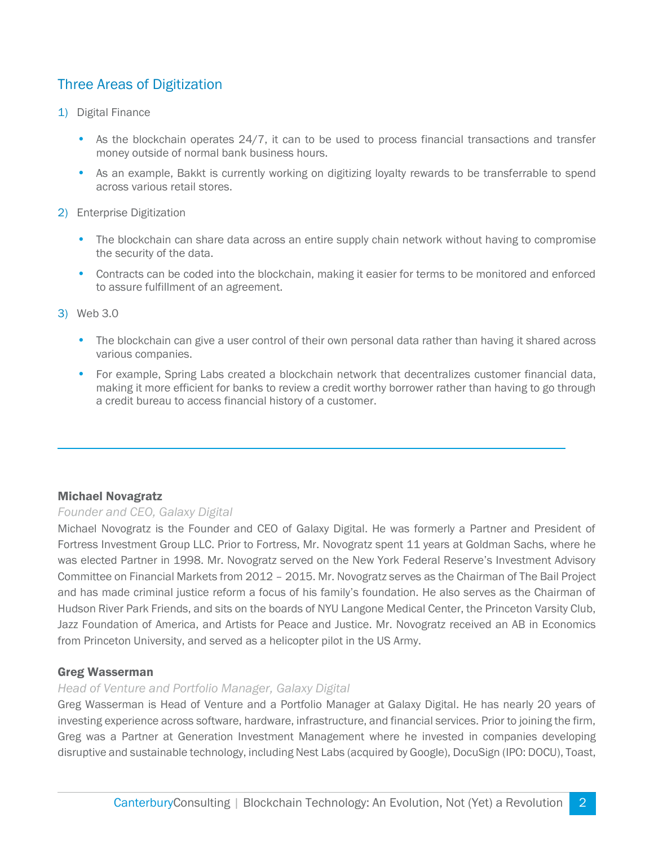# Three Areas of Digitization

- 1) Digital Finance
	- As the blockchain operates 24/7, it can to be used to process financial transactions and transfer money outside of normal bank business hours.
	- As an example, Bakkt is currently working on digitizing loyalty rewards to be transferrable to spend across various retail stores.
- 2) Enterprise Digitization
	- The blockchain can share data across an entire supply chain network without having to compromise the security of the data.
	- Contracts can be coded into the blockchain, making it easier for terms to be monitored and enforced to assure fulfillment of an agreement.
- 3) Web 3.0

 $\overline{a}$ 

- The blockchain can give a user control of their own personal data rather than having it shared across various companies.
- For example, Spring Labs created a blockchain network that decentralizes customer financial data, making it more efficient for banks to review a credit worthy borrower rather than having to go through a credit bureau to access financial history of a customer.

#### Michael Novagratz

#### *Founder and CEO, Galaxy Digital*

Michael Novogratz is the Founder and CEO of Galaxy Digital. He was formerly a Partner and President of Fortress Investment Group LLC. Prior to Fortress, Mr. Novogratz spent 11 years at Goldman Sachs, where he was elected Partner in 1998. Mr. Novogratz served on the New York Federal Reserve's Investment Advisory Committee on Financial Markets from 2012 – 2015. Mr. Novogratz serves as the Chairman of The Bail Project and has made criminal justice reform a focus of his family's foundation. He also serves as the Chairman of Hudson River Park Friends, and sits on the boards of NYU Langone Medical Center, the Princeton Varsity Club, Jazz Foundation of America, and Artists for Peace and Justice. Mr. Novogratz received an AB in Economics from Princeton University, and served as a helicopter pilot in the US Army.

#### Greg Wasserman

#### *Head of Venture and Portfolio Manager, Galaxy Digital*

Greg Wasserman is Head of Venture and a Portfolio Manager at Galaxy Digital. He has nearly 20 years of investing experience across software, hardware, infrastructure, and financial services. Prior to joining the firm, Greg was a Partner at Generation Investment Management where he invested in companies developing disruptive and sustainable technology, including Nest Labs (acquired by Google), DocuSign (IPO: DOCU), Toast,